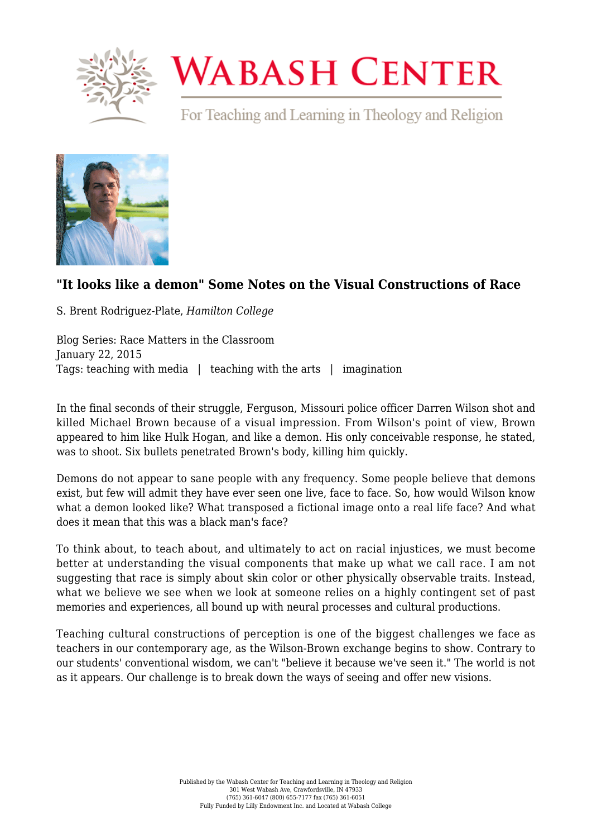

## **WABASH CENTER**

For Teaching and Learning in Theology and Religion



## **["It looks like a demon" Some Notes on the Visual Constructions of Race](https://www.wabashcenter.wabash.edu/2015/01/it-looks-like-a-demon-some-notes-on-the-visual-constructions-of-race/)**

S. Brent Rodriguez-Plate, *Hamilton College*

Blog Series: Race Matters in the Classroom January 22, 2015 Tags: teaching with media | teaching with the arts | imagination

In the final seconds of their struggle, Ferguson, Missouri police officer Darren Wilson shot and killed Michael Brown because of a visual impression. From Wilson's point of view, Brown appeared to him like Hulk Hogan, and like a demon. His only conceivable response, he stated, was to shoot. Six bullets penetrated Brown's body, killing him quickly.

Demons do not appear to sane people with any frequency. Some people believe that demons exist, but few will admit they have ever seen one live, face to face. So, how would Wilson know what a demon looked like? What transposed a fictional image onto a real life face? And what does it mean that this was a black man's face?

To think about, to teach about, and ultimately to act on racial injustices, we must become better at understanding the visual components that make up what we call race. I am not suggesting that race is simply about skin color or other physically observable traits. Instead, what we believe we see when we look at someone relies on a highly contingent set of past memories and experiences, all bound up with neural processes and cultural productions.

Teaching cultural constructions of perception is one of the biggest challenges we face as teachers in our contemporary age, as the Wilson-Brown exchange begins to show. Contrary to our students' conventional wisdom, we can't "believe it because we've seen it." The world is not as it appears. Our challenge is to break down the ways of seeing and offer new visions.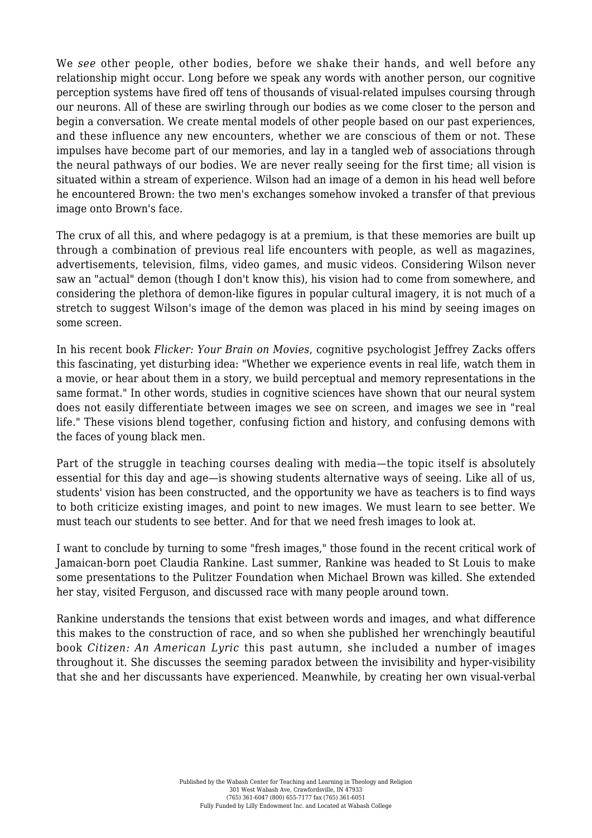We *see* other people, other bodies, before we shake their hands, and well before any relationship might occur. Long before we speak any words with another person, our cognitive perception systems have fired off tens of thousands of visual-related impulses coursing through our neurons. All of these are swirling through our bodies as we come closer to the person and begin a conversation. We create mental models of other people based on our past experiences, and these influence any new encounters, whether we are conscious of them or not. These impulses have become part of our memories, and lay in a tangled web of associations through the neural pathways of our bodies. We are never really seeing for the first time; all vision is situated within a stream of experience. Wilson had an image of a demon in his head well before he encountered Brown: the two men's exchanges somehow invoked a transfer of that previous image onto Brown's face.

The crux of all this, and where pedagogy is at a premium, is that these memories are built up through a combination of previous real life encounters with people, as well as magazines, advertisements, television, films, video games, and music videos. Considering Wilson never saw an "actual" demon (though I don't know this), his vision had to come from somewhere, and considering the plethora of demon-like figures in popular cultural imagery, it is not much of a stretch to suggest Wilson's image of the demon was placed in his mind by seeing images on some screen.

In his recent book *Flicker: Your Brain on Movies*, cognitive psychologist Jeffrey Zacks offers this fascinating, yet disturbing idea: "Whether we experience events in real life, watch them in a movie, or hear about them in a story, we build perceptual and memory representations in the same format." In other words, studies in cognitive sciences have shown that our neural system does not easily differentiate between images we see on screen, and images we see in "real life." These visions blend together, confusing fiction and history, and confusing demons with the faces of young black men.

Part of the struggle in teaching courses dealing with media—the topic itself is absolutely essential for this day and age—is showing students alternative ways of seeing. Like all of us, students' vision has been constructed, and the opportunity we have as teachers is to find ways to both criticize existing images, and point to new images. We must learn to see better. We must teach our students to see better. And for that we need fresh images to look at.

I want to conclude by turning to some "fresh images," those found in the recent critical work of Jamaican-born poet Claudia Rankine. Last summer, Rankine was headed to St Louis to make some presentations to the Pulitzer Foundation when Michael Brown was killed. She extended her stay, visited Ferguson, and discussed race with many people around town.

Rankine understands the tensions that exist between words and images, and what difference this makes to the construction of race, and so when she published her wrenchingly beautiful book *Citizen: An American Lyric* this past autumn, she included a number of images throughout it. She discusses the seeming paradox between the invisibility and hyper-visibility that she and her discussants have experienced. Meanwhile, by creating her own visual-verbal